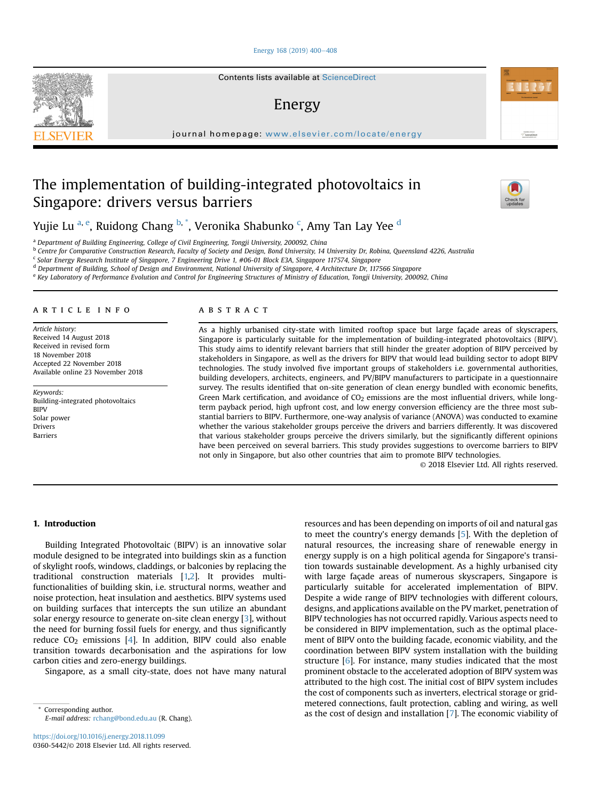## [Energy 168 \(2019\) 400](https://doi.org/10.1016/j.energy.2018.11.099)-[408](https://doi.org/10.1016/j.energy.2018.11.099)

Contents lists available at ScienceDirect

# Energy

journal homepage: [www.elsevier.com/locate/energy](http://www.elsevier.com/locate/energy)

# The implementation of building-integrated photovoltaics in Singapore: drivers versus barriers



Automotive at<br>ScienceDire

Yujie Lu <sup>a, e</sup>, Ruidong Chang <sup>b, \*</sup>, Veronika Shabunko <sup>c</sup>, Amy Tan Lay Yee <sup>d</sup>

<sup>a</sup> Department of Building Engineering, College of Civil Engineering, Tongji University, 200092, China

<sup>b</sup> Centre for Comparative Construction Research, Faculty of Society and Design, Bond University, 14 University Dr, Robina, Queensland 4226, Australia

<sup>c</sup> Solar Energy Research Institute of Singapore, 7 Engineering Drive 1, #06-01 Block E3A, Singapore 117574, Singapore

<sup>d</sup> Department of Building, School of Design and Environment, National University of Singapore, 4 Architecture Dr, 117566 Singapore

e Key Laboratory of Performance Evolution and Control for Engineering Structures of Ministry of Education, Tongji University, 200092, China

## article info

Article history: Received 14 August 2018 Received in revised form 18 November 2018 Accepted 22 November 2018 Available online 23 November 2018

Keywords: Building-integrated photovoltaics **BIPV** Solar power Drivers Barriers

## **ABSTRACT**

As a highly urbanised city-state with limited rooftop space but large façade areas of skyscrapers, Singapore is particularly suitable for the implementation of building-integrated photovoltaics (BIPV). This study aims to identify relevant barriers that still hinder the greater adoption of BIPV perceived by stakeholders in Singapore, as well as the drivers for BIPV that would lead building sector to adopt BIPV technologies. The study involved five important groups of stakeholders i.e. governmental authorities, building developers, architects, engineers, and PV/BIPV manufacturers to participate in a questionnaire survey. The results identified that on-site generation of clean energy bundled with economic benefits, Green Mark certification, and avoidance of  $CO<sub>2</sub>$  emissions are the most influential drivers, while longterm payback period, high upfront cost, and low energy conversion efficiency are the three most substantial barriers to BIPV. Furthermore, one-way analysis of variance (ANOVA) was conducted to examine whether the various stakeholder groups perceive the drivers and barriers differently. It was discovered that various stakeholder groups perceive the drivers similarly, but the significantly different opinions have been perceived on several barriers. This study provides suggestions to overcome barriers to BIPV not only in Singapore, but also other countries that aim to promote BIPV technologies.

© 2018 Elsevier Ltd. All rights reserved.

### 1. Introduction

Building Integrated Photovoltaic (BIPV) is an innovative solar module designed to be integrated into buildings skin as a function of skylight roofs, windows, claddings, or balconies by replacing the traditional construction materials [\[1,2\]](#page-7-0). It provides multifunctionalities of building skin, i.e. structural norms, weather and noise protection, heat insulation and aesthetics. BIPV systems used on building surfaces that intercepts the sun utilize an abundant solar energy resource to generate on-site clean energy [\[3\]](#page-7-0), without the need for burning fossil fuels for energy, and thus significantly reduce  $CO<sub>2</sub>$  emissions [[4\]](#page-7-0). In addition, BIPV could also enable transition towards decarbonisation and the aspirations for low carbon cities and zero-energy buildings.

Singapore, as a small city-state, does not have many natural

resources and has been depending on imports of oil and natural gas to meet the country's energy demands [[5\]](#page-7-0). With the depletion of natural resources, the increasing share of renewable energy in energy supply is on a high political agenda for Singapore's transition towards sustainable development. As a highly urbanised city with large façade areas of numerous skyscrapers, Singapore is particularly suitable for accelerated implementation of BIPV. Despite a wide range of BIPV technologies with different colours, designs, and applications available on the PV market, penetration of BIPV technologies has not occurred rapidly. Various aspects need to be considered in BIPV implementation, such as the optimal placement of BIPV onto the building facade, economic viability, and the coordination between BIPV system installation with the building structure [\[6](#page-7-0)]. For instance, many studies indicated that the most prominent obstacle to the accelerated adoption of BIPV system was attributed to the high cost. The initial cost of BIPV system includes the cost of components such as inverters, electrical storage or gridmetered connections, fault protection, cabling and wiring, as well Corresponding author.<br>
as the cost of design and installation [[7](#page-7-0)]. The economic viability of



E-mail address: [rchang@bond.edu.au](mailto:rchang@bond.edu.au) (R. Chang).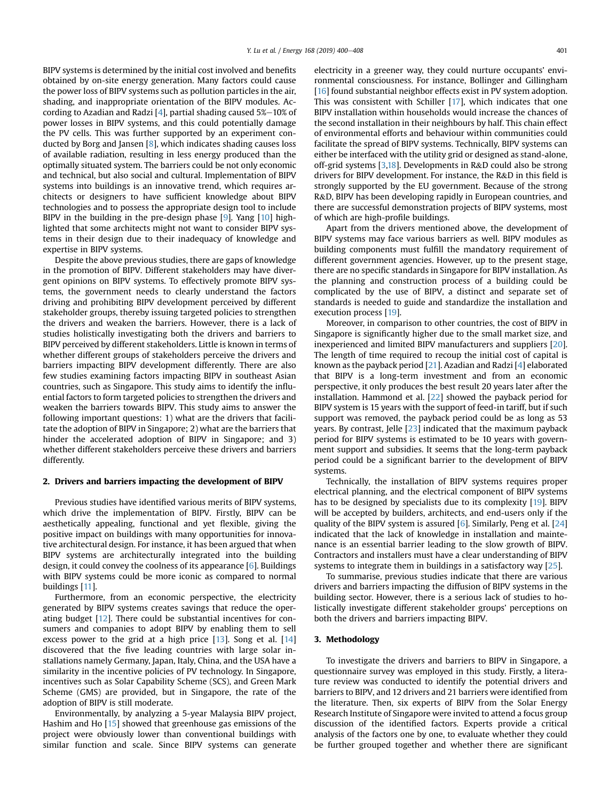BIPV systems is determined by the initial cost involved and benefits obtained by on-site energy generation. Many factors could cause the power loss of BIPV systems such as pollution particles in the air, shading, and inappropriate orientation of the BIPV modules. Ac-cording to Azadian and Radzi [[4](#page-7-0)], partial shading caused  $5\% - 10\%$  of power losses in BIPV systems, and this could potentially damage the PV cells. This was further supported by an experiment conducted by Borg and Jansen [[8](#page-7-0)], which indicates shading causes loss of available radiation, resulting in less energy produced than the optimally situated system. The barriers could be not only economic and technical, but also social and cultural. Implementation of BIPV systems into buildings is an innovative trend, which requires architects or designers to have sufficient knowledge about BIPV technologies and to possess the appropriate design tool to include BIPV in the building in the pre-design phase [\[9](#page-7-0)]. Yang [\[10](#page-7-0)] highlighted that some architects might not want to consider BIPV systems in their design due to their inadequacy of knowledge and expertise in BIPV systems.

Despite the above previous studies, there are gaps of knowledge in the promotion of BIPV. Different stakeholders may have divergent opinions on BIPV systems. To effectively promote BIPV systems, the government needs to clearly understand the factors driving and prohibiting BIPV development perceived by different stakeholder groups, thereby issuing targeted policies to strengthen the drivers and weaken the barriers. However, there is a lack of studies holistically investigating both the drivers and barriers to BIPV perceived by different stakeholders. Little is known in terms of whether different groups of stakeholders perceive the drivers and barriers impacting BIPV development differently. There are also few studies examining factors impacting BIPV in southeast Asian countries, such as Singapore. This study aims to identify the influential factors to form targeted policies to strengthen the drivers and weaken the barriers towards BIPV. This study aims to answer the following important questions: 1) what are the drivers that facilitate the adoption of BIPV in Singapore; 2) what are the barriers that hinder the accelerated adoption of BIPV in Singapore; and 3) whether different stakeholders perceive these drivers and barriers differently.

## 2. Drivers and barriers impacting the development of BIPV

Previous studies have identified various merits of BIPV systems, which drive the implementation of BIPV. Firstly, BIPV can be aesthetically appealing, functional and yet flexible, giving the positive impact on buildings with many opportunities for innovative architectural design. For instance, it has been argued that when BIPV systems are architecturally integrated into the building design, it could convey the coolness of its appearance [[6\]](#page-7-0). Buildings with BIPV systems could be more iconic as compared to normal buildings [[11\]](#page-7-0).

Furthermore, from an economic perspective, the electricity generated by BIPV systems creates savings that reduce the operating budget [[12\]](#page-7-0). There could be substantial incentives for consumers and companies to adopt BIPV by enabling them to sell excess power to the grid at a high price  $[13]$  $[13]$ . Song et al.  $[14]$  $[14]$ discovered that the five leading countries with large solar installations namely Germany, Japan, Italy, China, and the USA have a similarity in the incentive policies of PV technology. In Singapore, incentives such as Solar Capability Scheme (SCS), and Green Mark Scheme (GMS) are provided, but in Singapore, the rate of the adoption of BIPV is still moderate.

Environmentally, by analyzing a 5-year Malaysia BIPV project, Hashim and Ho [[15\]](#page-7-0) showed that greenhouse gas emissions of the project were obviously lower than conventional buildings with similar function and scale. Since BIPV systems can generate electricity in a greener way, they could nurture occupants' environmental consciousness. For instance, Bollinger and Gillingham [\[16](#page-7-0)] found substantial neighbor effects exist in PV system adoption. This was consistent with Schiller [[17](#page-7-0)], which indicates that one BIPV installation within households would increase the chances of the second installation in their neighbours by half. This chain effect of environmental efforts and behaviour within communities could facilitate the spread of BIPV systems. Technically, BIPV systems can either be interfaced with the utility grid or designed as stand-alone, off-grid systems [[3,18\]](#page-7-0). Developments in R&D could also be strong drivers for BIPV development. For instance, the R&D in this field is strongly supported by the EU government. Because of the strong R&D, BIPV has been developing rapidly in European countries, and there are successful demonstration projects of BIPV systems, most of which are high-profile buildings.

Apart from the drivers mentioned above, the development of BIPV systems may face various barriers as well. BIPV modules as building components must fulfill the mandatory requirement of different government agencies. However, up to the present stage, there are no specific standards in Singapore for BIPV installation. As the planning and construction process of a building could be complicated by the use of BIPV, a distinct and separate set of standards is needed to guide and standardize the installation and execution process [\[19](#page-7-0)].

Moreover, in comparison to other countries, the cost of BIPV in Singapore is significantly higher due to the small market size, and inexperienced and limited BIPV manufacturers and suppliers [\[20\]](#page-7-0). The length of time required to recoup the initial cost of capital is known as the payback period [[21\]](#page-7-0). Azadian and Radzi [\[4\]](#page-7-0) elaborated that BIPV is a long-term investment and from an economic perspective, it only produces the best result 20 years later after the installation. Hammond et al. [[22](#page-7-0)] showed the payback period for BIPV system is 15 years with the support of feed-in tariff, but if such support was removed, the payback period could be as long as 53 years. By contrast, Jelle [[23](#page-7-0)] indicated that the maximum payback period for BIPV systems is estimated to be 10 years with government support and subsidies. It seems that the long-term payback period could be a significant barrier to the development of BIPV systems.

Technically, the installation of BIPV systems requires proper electrical planning, and the electrical component of BIPV systems has to be designed by specialists due to its complexity [\[19](#page-7-0)]. BIPV will be accepted by builders, architects, and end-users only if the quality of the BIPV system is assured  $[6]$  $[6]$ . Similarly, Peng et al.  $[24]$ indicated that the lack of knowledge in installation and maintenance is an essential barrier leading to the slow growth of BIPV. Contractors and installers must have a clear understanding of BIPV systems to integrate them in buildings in a satisfactory way [\[25\]](#page-7-0).

To summarise, previous studies indicate that there are various drivers and barriers impacting the diffusion of BIPV systems in the building sector. However, there is a serious lack of studies to holistically investigate different stakeholder groups' perceptions on both the drivers and barriers impacting BIPV.

## 3. Methodology

To investigate the drivers and barriers to BIPV in Singapore, a questionnaire survey was employed in this study. Firstly, a literature review was conducted to identify the potential drivers and barriers to BIPV, and 12 drivers and 21 barriers were identified from the literature. Then, six experts of BIPV from the Solar Energy Research Institute of Singapore were invited to attend a focus group discussion of the identified factors. Experts provide a critical analysis of the factors one by one, to evaluate whether they could be further grouped together and whether there are significant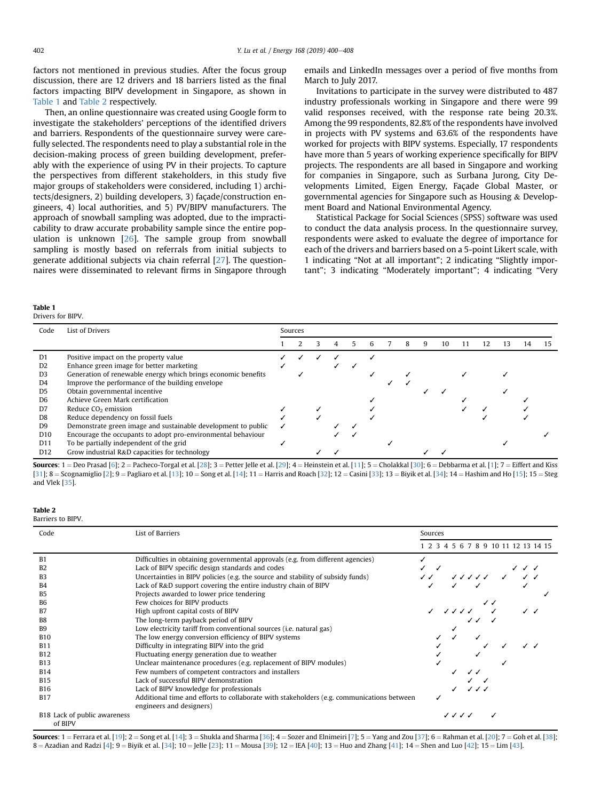factors not mentioned in previous studies. After the focus group discussion, there are 12 drivers and 18 barriers listed as the final factors impacting BIPV development in Singapore, as shown in Table 1 and Table 2 respectively.

Then, an online questionnaire was created using Google form to investigate the stakeholders' perceptions of the identified drivers and barriers. Respondents of the questionnaire survey were carefully selected. The respondents need to play a substantial role in the decision-making process of green building development, preferably with the experience of using PV in their projects. To capture the perspectives from different stakeholders, in this study five major groups of stakeholders were considered, including 1) architects/designers, 2) building developers, 3) façade/construction engineers, 4) local authorities, and 5) PV/BIPV manufacturers. The approach of snowball sampling was adopted, due to the impracticability to draw accurate probability sample since the entire population is unknown [\[26\]](#page-7-0). The sample group from snowball sampling is mostly based on referrals from initial subjects to generate additional subjects via chain referral [\[27](#page-7-0)]. The questionnaires were disseminated to relevant firms in Singapore through

#### Table 1 Drivers for BIPV.

emails and LinkedIn messages over a period of five months from March to July 2017.

Invitations to participate in the survey were distributed to 487 industry professionals working in Singapore and there were 99 valid responses received, with the response rate being 20.3%. Among the 99 respondents, 82.8% of the respondents have involved in projects with PV systems and 63.6% of the respondents have worked for projects with BIPV systems. Especially, 17 respondents have more than 5 years of working experience specifically for BIPV projects. The respondents are all based in Singapore and working for companies in Singapore, such as Surbana Jurong, City Developments Limited, Eigen Energy, Façade Global Master, or governmental agencies for Singapore such as Housing & Development Board and National Environmental Agency.

Statistical Package for Social Sciences (SPSS) software was used to conduct the data analysis process. In the questionnaire survey, respondents were asked to evaluate the degree of importance for each of the drivers and barriers based on a 5-point Likert scale, with 1 indicating "Not at all important"; 2 indicating "Slightly important"; 3 indicating "Moderately important"; 4 indicating "Very

| Code            | <b>List of Drivers</b>                                        | Sources |  |  |  |  |  |  |   |   |    |    |    |    |  |
|-----------------|---------------------------------------------------------------|---------|--|--|--|--|--|--|---|---|----|----|----|----|--|
|                 |                                                               |         |  |  |  |  |  |  | 8 | 9 | 10 | 12 | 13 | 14 |  |
| D <sub>1</sub>  | Positive impact on the property value                         |         |  |  |  |  |  |  |   |   |    |    |    |    |  |
| D <sub>2</sub>  | Enhance green image for better marketing                      |         |  |  |  |  |  |  |   |   |    |    |    |    |  |
| D <sub>3</sub>  | Generation of renewable energy which brings economic benefits |         |  |  |  |  |  |  |   |   |    |    |    |    |  |
| D4              | Improve the performance of the building envelope              |         |  |  |  |  |  |  |   |   |    |    |    |    |  |
| D <sub>5</sub>  | Obtain governmental incentive                                 |         |  |  |  |  |  |  |   |   |    |    |    |    |  |
| D <sub>6</sub>  | Achieve Green Mark certification                              |         |  |  |  |  |  |  |   |   |    |    |    |    |  |
| D7              | Reduce CO <sub>2</sub> emission                               |         |  |  |  |  |  |  |   |   |    |    |    |    |  |
| D8              | Reduce dependency on fossil fuels                             |         |  |  |  |  |  |  |   |   |    |    |    |    |  |
| D <sub>9</sub>  | Demonstrate green image and sustainable development to public |         |  |  |  |  |  |  |   |   |    |    |    |    |  |
| D <sub>10</sub> | Encourage the occupants to adopt pro-environmental behaviour  |         |  |  |  |  |  |  |   |   |    |    |    |    |  |
| D11             | To be partially independent of the grid                       |         |  |  |  |  |  |  |   |   |    |    |    |    |  |
| D <sub>12</sub> | Grow industrial R&D capacities for technology                 |         |  |  |  |  |  |  |   |   |    |    |    |    |  |

**Sources:** 1 = Deo Prasad [\[6](#page-7-0)]; 2 = Pacheco-Torgal et al. [[28\]](#page-7-0); 3 = Petter Jelle et al. [\[29\]](#page-7-0); 4 = Heinstein et al. [\[11](#page-7-0)]; 5 = Cholakkal [\[30](#page-7-0)]; 6 = Debbarma et al. [\[1\]](#page-7-0); 7 = Eiffert and Kiss [\[31\]](#page-7-0); 8 = Scognamiglio [[2\]](#page-7-0); 9 = Pagliaro et al. [\[13\]](#page-7-0); 10 = Song et al. [\[14\]](#page-7-0); 11 = Harris and Roach [\[32\]](#page-7-0); 12 = Casini [\[33\]](#page-7-0); 13 = Biyik et al. [[34\]](#page-7-0); 14 = Hashim and Ho [[15\]](#page-7-0); 15 = Steg and Vlek [[35](#page-7-0)].

#### Table 2 Barriers to BIPV.

| Code                         | List of Barriers                                                                          | Sources                             |  |  |  |  |
|------------------------------|-------------------------------------------------------------------------------------------|-------------------------------------|--|--|--|--|
|                              |                                                                                           | 1 2 3 4 5 6 7 8 9 10 11 12 13 14 15 |  |  |  |  |
| B1                           | Difficulties in obtaining governmental approvals (e.g. from different agencies)           |                                     |  |  |  |  |
| B2                           | Lack of BIPV specific design standards and codes                                          |                                     |  |  |  |  |
| B <sub>3</sub>               | Uncertainties in BIPV policies (e.g. the source and stability of subsidy funds)           | $\frac{1}{2}$ and $\frac{1}{2}$     |  |  |  |  |
| B <sub>4</sub>               | Lack of R&D support covering the entire industry chain of BIPV                            |                                     |  |  |  |  |
| <b>B5</b>                    | Projects awarded to lower price tendering                                                 |                                     |  |  |  |  |
| B <sub>6</sub>               | Few choices for BIPV products                                                             |                                     |  |  |  |  |
| B7                           | High upfront capital costs of BIPV                                                        | $1111 - 1$                          |  |  |  |  |
| B <sub>8</sub>               | The long-term payback period of BIPV                                                      |                                     |  |  |  |  |
| <b>B</b> 9                   | Low electricity tariff from conventional sources ( <i>i.e.</i> natural gas)               |                                     |  |  |  |  |
| <b>B10</b>                   | The low energy conversion efficiency of BIPV systems                                      |                                     |  |  |  |  |
| <b>B11</b>                   | Difficulty in integrating BIPV into the grid                                              |                                     |  |  |  |  |
| <b>B12</b>                   | Fluctuating energy generation due to weather                                              |                                     |  |  |  |  |
| <b>B13</b>                   | Unclear maintenance procedures (e.g. replacement of BIPV modules)                         |                                     |  |  |  |  |
| <b>B14</b>                   | Few numbers of competent contractors and installers                                       |                                     |  |  |  |  |
| <b>B15</b>                   | Lack of successful BIPV demonstration                                                     |                                     |  |  |  |  |
| <b>B16</b>                   | Lack of BIPV knowledge for professionals                                                  |                                     |  |  |  |  |
| <b>B17</b>                   | Additional time and efforts to collaborate with stakeholders (e.g. communications between |                                     |  |  |  |  |
|                              | engineers and designers)                                                                  |                                     |  |  |  |  |
| B18 Lack of public awareness |                                                                                           | ノノノノ                                |  |  |  |  |

of BIPV

Sources:  $1 =$  Ferrara et al. [[19](#page-7-0)];  $2 =$  Song et al. [\[14\]](#page-7-0);  $3 =$  Shukla and Sharma [\[36\]](#page-7-0);  $4 =$  Sozer and Elnimeiri [[7](#page-7-0)];  $5 =$  Yang and Zou [[37](#page-7-0)]; 6 = Rahman et al. [\[20](#page-7-0)]; 7 = Goh et al. [[38](#page-7-0)]; 8 = Azadian and Radzi [[4\]](#page-7-0); 9 = Biyik et al. [[34](#page-7-0)]; 10 = Jelle [\[23](#page-7-0)]; 11 = Mousa [\[39\]](#page-7-0); 12 = IEA [\[40\]](#page-7-0); 13 = Huo and Zhang [[41](#page-7-0)]; 14 = Shen and Luo [[42](#page-7-0)]; 15 = Lim [[43](#page-7-0)].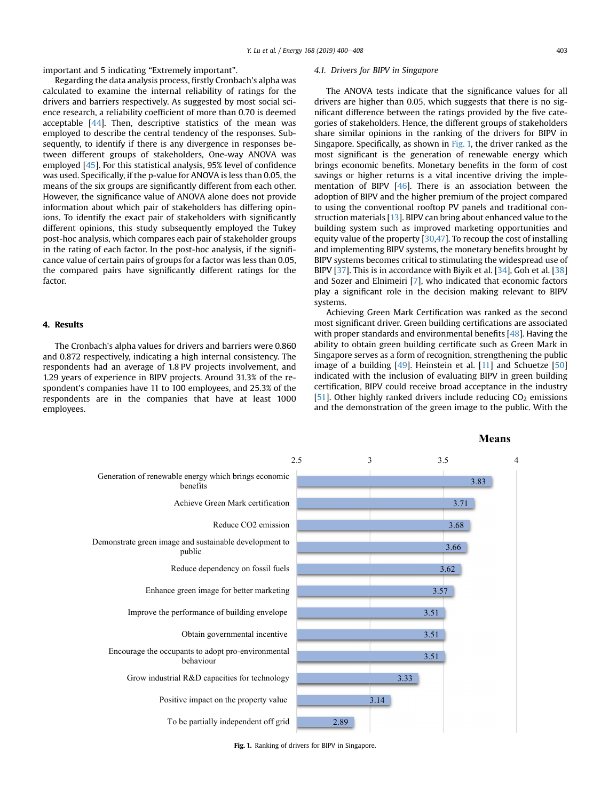important and 5 indicating "Extremely important".

## Regarding the data analysis process, firstly Cronbach's alpha was calculated to examine the internal reliability of ratings for the drivers and barriers respectively. As suggested by most social science research, a reliability coefficient of more than 0.70 is deemed acceptable [[44](#page-7-0)]. Then, descriptive statistics of the mean was employed to describe the central tendency of the responses. Subsequently, to identify if there is any divergence in responses between different groups of stakeholders, One-way ANOVA was employed [\[45\]](#page-7-0). For this statistical analysis, 95% level of confidence was used. Specifically, if the p-value for ANOVA is less than 0.05, the means of the six groups are significantly different from each other. However, the significance value of ANOVA alone does not provide information about which pair of stakeholders has differing opinions. To identify the exact pair of stakeholders with significantly different opinions, this study subsequently employed the Tukey post-hoc analysis, which compares each pair of stakeholder groups in the rating of each factor. In the post-hoc analysis, if the significance value of certain pairs of groups for a factor was less than 0.05, the compared pairs have significantly different ratings for the factor.

## 4. Results

The Cronbach's alpha values for drivers and barriers were 0.860 and 0.872 respectively, indicating a high internal consistency. The respondents had an average of 1.8 PV projects involvement, and 1.29 years of experience in BIPV projects. Around 31.3% of the respondent's companies have 11 to 100 employees, and 25.3% of the respondents are in the companies that have at least 1000 employees.

### 4.1. Drivers for BIPV in Singapore

The ANOVA tests indicate that the significance values for all drivers are higher than 0.05, which suggests that there is no significant difference between the ratings provided by the five categories of stakeholders. Hence, the different groups of stakeholders share similar opinions in the ranking of the drivers for BIPV in Singapore. Specifically, as shown in Fig. 1, the driver ranked as the most significant is the generation of renewable energy which brings economic benefits. Monetary benefits in the form of cost savings or higher returns is a vital incentive driving the implementation of BIPV [[46](#page-7-0)]. There is an association between the adoption of BIPV and the higher premium of the project compared to using the conventional rooftop PV panels and traditional construction materials [[13\]](#page-7-0). BIPV can bring about enhanced value to the building system such as improved marketing opportunities and equity value of the property [[30,47](#page-7-0)]. To recoup the cost of installing and implementing BIPV systems, the monetary benefits brought by BIPV systems becomes critical to stimulating the widespread use of BIPV [\[37](#page-7-0)]. This is in accordance with Biyik et al. [\[34\]](#page-7-0), Goh et al. [\[38\]](#page-7-0) and Sozer and Elnimeiri [[7](#page-7-0)], who indicated that economic factors play a significant role in the decision making relevant to BIPV systems.

Achieving Green Mark Certification was ranked as the second most significant driver. Green building certifications are associated with proper standards and environmental benefits [\[48](#page-7-0)]. Having the ability to obtain green building certificate such as Green Mark in Singapore serves as a form of recognition, strengthening the public image of a building [\[49\]](#page-7-0). Heinstein et al. [\[11\]](#page-7-0) and Schuetze [\[50\]](#page-7-0) indicated with the inclusion of evaluating BIPV in green building certification, BIPV could receive broad acceptance in the industry [\[51](#page-7-0)]. Other highly ranked drivers include reducing  $CO<sub>2</sub>$  emissions and the demonstration of the green image to the public. With the



Fig. 1. Ranking of drivers for BIPV in Singapore.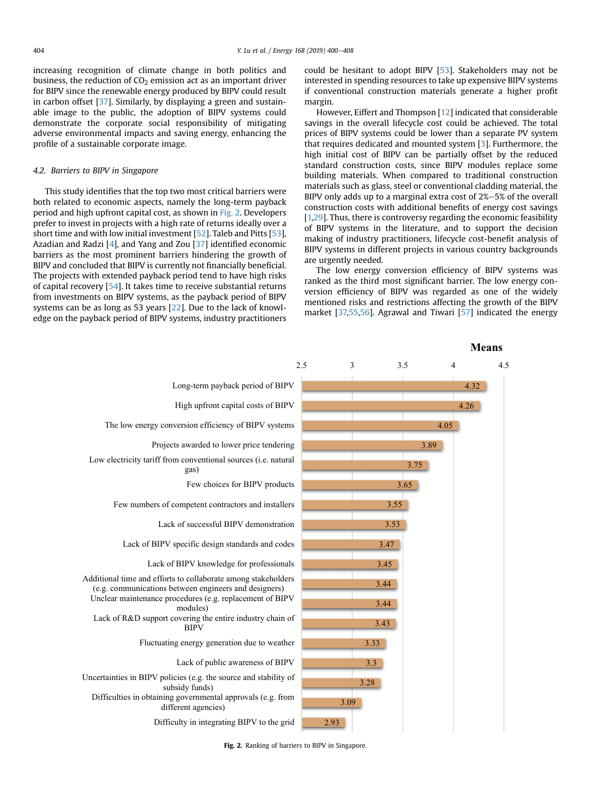increasing recognition of climate change in both politics and business, the reduction of  $CO<sub>2</sub>$  emission act as an important driver for BIPV since the renewable energy produced by BIPV could result in carbon offset [\[37](#page-7-0)]. Similarly, by displaying a green and sustainable image to the public, the adoption of BIPV systems could demonstrate the corporate social responsibility of mitigating adverse environmental impacts and saving energy, enhancing the profile of a sustainable corporate image.

## 4.2. Barriers to BIPV in Singapore

This study identifies that the top two most critical barriers were both related to economic aspects, namely the long-term payback period and high upfront capital cost, as shown in Fig. 2. Developers prefer to invest in projects with a high rate of returns ideally over a short time and with low initial investment [[52](#page-7-0)]. Taleb and Pitts [[53](#page-7-0)], Azadian and Radzi [\[4](#page-7-0)], and Yang and Zou [[37](#page-7-0)] identified economic barriers as the most prominent barriers hindering the growth of BIPV and concluded that BIPV is currently not financially beneficial. The projects with extended payback period tend to have high risks of capital recovery [[54](#page-7-0)]. It takes time to receive substantial returns from investments on BIPV systems, as the payback period of BIPV systems can be as long as 53 years [\[22\]](#page-7-0). Due to the lack of knowledge on the payback period of BIPV systems, industry practitioners could be hesitant to adopt BIPV [\[53\]](#page-7-0). Stakeholders may not be interested in spending resources to take up expensive BIPV systems if conventional construction materials generate a higher profit margin.

However, Eiffert and Thompson [\[12](#page-7-0)] indicated that considerable savings in the overall lifecycle cost could be achieved. The total prices of BIPV systems could be lower than a separate PV system that requires dedicated and mounted system [[3](#page-7-0)]. Furthermore, the high initial cost of BIPV can be partially offset by the reduced standard construction costs, since BIPV modules replace some building materials. When compared to traditional construction materials such as glass, steel or conventional cladding material, the BIPV only adds up to a marginal extra cost of  $2\% - 5\%$  of the overall construction costs with additional benefits of energy cost savings [[1,29](#page-7-0)]. Thus, there is controversy regarding the economic feasibility of BIPV systems in the literature, and to support the decision making of industry practitioners, lifecycle cost-benefit analysis of BIPV systems in different projects in various country backgrounds are urgently needed.

The low energy conversion efficiency of BIPV systems was ranked as the third most significant barrier. The low energy conversion efficiency of BIPV was regarded as one of the widely mentioned risks and restrictions affecting the growth of the BIPV market [\[37,55,56\]](#page-7-0). Agrawal and Tiwari [[57](#page-7-0)] indicated the energy



Fig. 2. Ranking of barriers to BIPV in Singapore.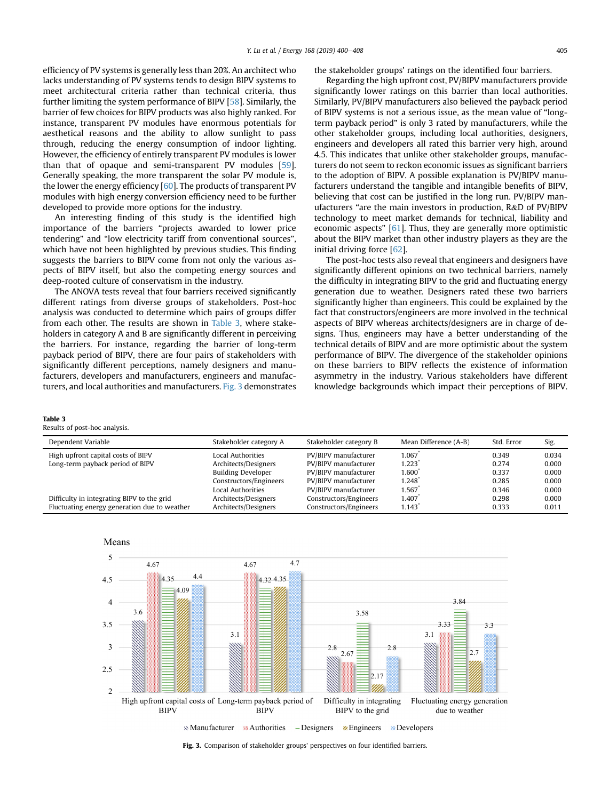efficiency of PV systems is generally less than 20%. An architect who lacks understanding of PV systems tends to design BIPV systems to meet architectural criteria rather than technical criteria, thus further limiting the system performance of BIPV [[58](#page-7-0)]. Similarly, the barrier of few choices for BIPV products was also highly ranked. For instance, transparent PV modules have enormous potentials for aesthetical reasons and the ability to allow sunlight to pass through, reducing the energy consumption of indoor lighting. However, the efficiency of entirely transparent PV modules is lower than that of opaque and semi-transparent PV modules [\[59\]](#page-7-0). Generally speaking, the more transparent the solar PV module is, the lower the energy efficiency [\[60\]](#page-8-0). The products of transparent PV modules with high energy conversion efficiency need to be further developed to provide more options for the industry.

An interesting finding of this study is the identified high importance of the barriers "projects awarded to lower price tendering" and "low electricity tariff from conventional sources", which have not been highlighted by previous studies. This finding suggests the barriers to BIPV come from not only the various aspects of BIPV itself, but also the competing energy sources and deep-rooted culture of conservatism in the industry.

The ANOVA tests reveal that four barriers received significantly different ratings from diverse groups of stakeholders. Post-hoc analysis was conducted to determine which pairs of groups differ from each other. The results are shown in Table 3, where stakeholders in category A and B are significantly different in perceiving the barriers. For instance, regarding the barrier of long-term payback period of BIPV, there are four pairs of stakeholders with significantly different perceptions, namely designers and manufacturers, developers and manufacturers, engineers and manufacturers, and local authorities and manufacturers. Fig. 3 demonstrates

## Table 3

Results of post-hoc analysis.

| Dependent Variable                           | Stakeholder category A                            | Stakeholder category B                         | Mean Difference (A-B) | Std. Error     | Sig.           |
|----------------------------------------------|---------------------------------------------------|------------------------------------------------|-----------------------|----------------|----------------|
| High upfront capital costs of BIPV           | Local Authorities                                 | PV/BIPV manufacturer                           | 1.067<br>1.223        | 0.349<br>0.274 | 0.034          |
| Long-term payback period of BIPV             | Architects/Designers<br><b>Building Developer</b> | PV/BIPV manufacturer<br>PV/BIPV manufacturer   | 1.600                 | 0.337          | 0.000<br>0.000 |
|                                              | Constructors/Engineers                            | PV/BIPV manufacturer                           | 1.248                 | 0.285          | 0.000          |
| Difficulty in integrating BIPV to the grid   | Local Authorities<br>Architects/Designers         | PV/BIPV manufacturer<br>Constructors/Engineers | 1.567<br>1.407        | 0.346<br>0.298 | 0.000<br>0.000 |
| Fluctuating energy generation due to weather | Architects/Designers                              | Constructors/Engineers                         | 1.143                 | 0.333          | 0.011          |



the stakeholder groups' ratings on the identified four barriers.

Regarding the high upfront cost, PV/BIPV manufacturers provide significantly lower ratings on this barrier than local authorities. Similarly, PV/BIPV manufacturers also believed the payback period of BIPV systems is not a serious issue, as the mean value of "longterm payback period" is only 3 rated by manufacturers, while the other stakeholder groups, including local authorities, designers, engineers and developers all rated this barrier very high, around 4.5. This indicates that unlike other stakeholder groups, manufacturers do not seem to reckon economic issues as significant barriers to the adoption of BIPV. A possible explanation is PV/BIPV manufacturers understand the tangible and intangible benefits of BIPV, believing that cost can be justified in the long run. PV/BIPV manufacturers "are the main investors in production, R&D of PV/BIPV technology to meet market demands for technical, liability and economic aspects" [\[61\]](#page-8-0). Thus, they are generally more optimistic about the BIPV market than other industry players as they are the initial driving force [[62](#page-8-0)].

The post-hoc tests also reveal that engineers and designers have significantly different opinions on two technical barriers, namely the difficulty in integrating BIPV to the grid and fluctuating energy generation due to weather. Designers rated these two barriers significantly higher than engineers. This could be explained by the fact that constructors/engineers are more involved in the technical aspects of BIPV whereas architects/designers are in charge of designs. Thus, engineers may have a better understanding of the technical details of BIPV and are more optimistic about the system performance of BIPV. The divergence of the stakeholder opinions on these barriers to BIPV reflects the existence of information asymmetry in the industry. Various stakeholders have different knowledge backgrounds which impact their perceptions of BIPV.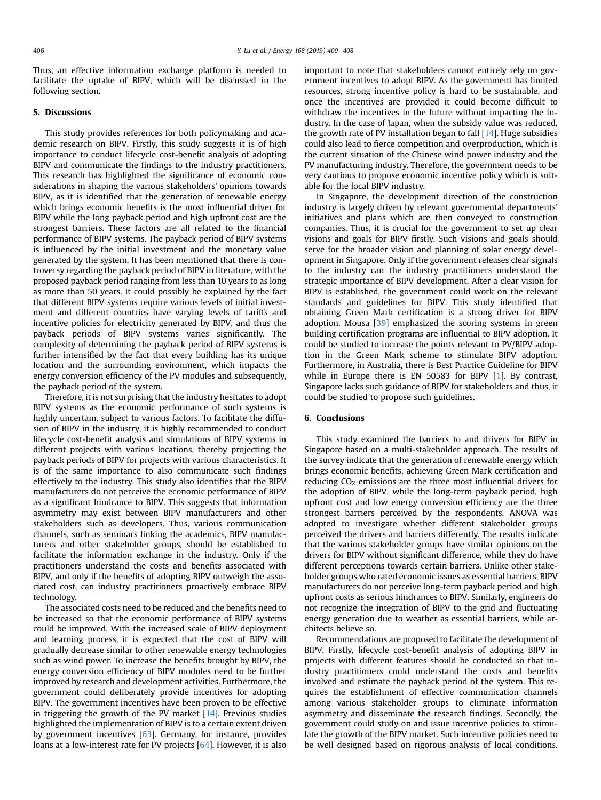Thus, an effective information exchange platform is needed to facilitate the uptake of BIPV, which will be discussed in the following section.

## 5. Discussions

This study provides references for both policymaking and academic research on BIPV. Firstly, this study suggests it is of high importance to conduct lifecycle cost-benefit analysis of adopting BIPV and communicate the findings to the industry practitioners. This research has highlighted the significance of economic considerations in shaping the various stakeholders' opinions towards BIPV, as it is identified that the generation of renewable energy which brings economic benefits is the most influential driver for BIPV while the long payback period and high upfront cost are the strongest barriers. These factors are all related to the financial performance of BIPV systems. The payback period of BIPV systems is influenced by the initial investment and the monetary value generated by the system. It has been mentioned that there is controversy regarding the payback period of BIPV in literature, with the proposed payback period ranging from less than 10 years to as long as more than 50 years. It could possibly be explained by the fact that different BIPV systems require various levels of initial investment and different countries have varying levels of tariffs and incentive policies for electricity generated by BIPV, and thus the payback periods of BIPV systems varies significantly. The complexity of determining the payback period of BIPV systems is further intensified by the fact that every building has its unique location and the surrounding environment, which impacts the energy conversion efficiency of the PV modules and subsequently, the payback period of the system.

Therefore, it is not surprising that the industry hesitates to adopt BIPV systems as the economic performance of such systems is highly uncertain, subject to various factors. To facilitate the diffusion of BIPV in the industry, it is highly recommended to conduct lifecycle cost-benefit analysis and simulations of BIPV systems in different projects with various locations, thereby projecting the payback periods of BIPV for projects with various characteristics. It is of the same importance to also communicate such findings effectively to the industry. This study also identifies that the BIPV manufacturers do not perceive the economic performance of BIPV as a significant hindrance to BIPV. This suggests that information asymmetry may exist between BIPV manufacturers and other stakeholders such as developers. Thus, various communication channels, such as seminars linking the academics, BIPV manufacturers and other stakeholder groups, should be established to facilitate the information exchange in the industry. Only if the practitioners understand the costs and benefits associated with BIPV, and only if the benefits of adopting BIPV outweigh the associated cost, can industry practitioners proactively embrace BIPV technology.

The associated costs need to be reduced and the benefits need to be increased so that the economic performance of BIPV systems could be improved. With the increased scale of BIPV deployment and learning process, it is expected that the cost of BIPV will gradually decrease similar to other renewable energy technologies such as wind power. To increase the benefits brought by BIPV, the energy conversion efficiency of BIPV modules need to be further improved by research and development activities. Furthermore, the government could deliberately provide incentives for adopting BIPV. The government incentives have been proven to be effective in triggering the growth of the PV market  $[14]$  $[14]$ . Previous studies highlighted the implementation of BIPV is to a certain extent driven by government incentives  $[63]$  $[63]$  $[63]$ . Germany, for instance, provides loans at a low-interest rate for PV projects [\[64\]](#page-8-0). However, it is also important to note that stakeholders cannot entirely rely on government incentives to adopt BIPV. As the government has limited resources, strong incentive policy is hard to be sustainable, and once the incentives are provided it could become difficult to withdraw the incentives in the future without impacting the industry. In the case of Japan, when the subsidy value was reduced, the growth rate of PV installation began to fall [\[14](#page-7-0)]. Huge subsidies could also lead to fierce competition and overproduction, which is the current situation of the Chinese wind power industry and the PV manufacturing industry. Therefore, the government needs to be very cautious to propose economic incentive policy which is suitable for the local BIPV industry.

In Singapore, the development direction of the construction industry is largely driven by relevant governmental departments' initiatives and plans which are then conveyed to construction companies. Thus, it is crucial for the government to set up clear visions and goals for BIPV firstly. Such visions and goals should serve for the broader vision and planning of solar energy development in Singapore. Only if the government releases clear signals to the industry can the industry practitioners understand the strategic importance of BIPV development. After a clear vision for BIPV is established, the government could work on the relevant standards and guidelines for BIPV. This study identified that obtaining Green Mark certification is a strong driver for BIPV adoption. Mousa [\[39\]](#page-7-0) emphasized the scoring systems in green building certification programs are influential to BIPV adoption. It could be studied to increase the points relevant to PV/BIPV adoption in the Green Mark scheme to stimulate BIPV adoption. Furthermore, in Australia, there is Best Practice Guideline for BIPV while in Europe there is EN 50583 for BIPV [[1\]](#page-7-0). By contrast, Singapore lacks such guidance of BIPV for stakeholders and thus, it could be studied to propose such guidelines.

## 6. Conclusions

This study examined the barriers to and drivers for BIPV in Singapore based on a multi-stakeholder approach. The results of the survey indicate that the generation of renewable energy which brings economic benefits, achieving Green Mark certification and reducing  $CO<sub>2</sub>$  emissions are the three most influential drivers for the adoption of BIPV, while the long-term payback period, high upfront cost and low energy conversion efficiency are the three strongest barriers perceived by the respondents. ANOVA was adopted to investigate whether different stakeholder groups perceived the drivers and barriers differently. The results indicate that the various stakeholder groups have similar opinions on the drivers for BIPV without significant difference, while they do have different perceptions towards certain barriers. Unlike other stakeholder groups who rated economic issues as essential barriers, BIPV manufacturers do not perceive long-term payback period and high upfront costs as serious hindrances to BIPV. Similarly, engineers do not recognize the integration of BIPV to the grid and fluctuating energy generation due to weather as essential barriers, while architects believe so.

Recommendations are proposed to facilitate the development of BIPV. Firstly, lifecycle cost-benefit analysis of adopting BIPV in projects with different features should be conducted so that industry practitioners could understand the costs and benefits involved and estimate the payback period of the system. This requires the establishment of effective communication channels among various stakeholder groups to eliminate information asymmetry and disseminate the research findings. Secondly, the government could study on and issue incentive policies to stimulate the growth of the BIPV market. Such incentive policies need to be well designed based on rigorous analysis of local conditions.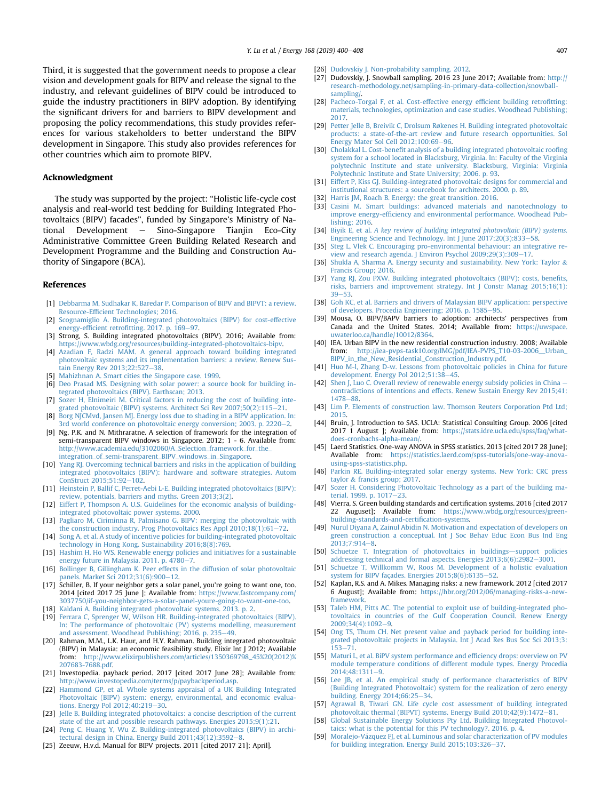<span id="page-7-0"></span>Third, it is suggested that the government needs to propose a clear vision and development goals for BIPV and release the signal to the industry, and relevant guidelines of BIPV could be introduced to guide the industry practitioners in BIPV adoption. By identifying the significant drivers for and barriers to BIPV development and proposing the policy recommendations, this study provides references for various stakeholders to better understand the BIPV development in Singapore. This study also provides references for other countries which aim to promote BIPV.

#### Acknowledgment

The study was supported by the project: "Holistic life-cycle cost analysis and real-world test bedding for Building Integrated Photovoltaics (BIPV) facades", funded by Singapore's Ministry of Na $t$ ional Development  $-$  Sino-Singapore Tianjin Eco-City Administrative Committee Green Building Related Research and Development Programme and the Building and Construction Authority of Singapore (BCA).

### References

- [1] [Debbarma M, Sudhakar K, Baredar P. Comparison of BIPV and BIPVT: a review.](http://refhub.elsevier.com/S0360-5442(18)32310-7/sref1) Resource-Effi[cient Technologies; 2016.](http://refhub.elsevier.com/S0360-5442(18)32310-7/sref1)
- [2] [Scognamiglio A. Building-integrated photovoltaics \(BIPV\) for cost-effective](http://refhub.elsevier.com/S0360-5442(18)32310-7/sref2) energy-efficient retrofi[tting. 2017. p. 169](http://refhub.elsevier.com/S0360-5442(18)32310-7/sref2)-[97](http://refhub.elsevier.com/S0360-5442(18)32310-7/sref2).
- [3] Strong, S. Building integrated photovoltaics (BIPV). 2016; Available from: [https://www.wbdg.org/resources/building-integrated-photovoltaics-bipv.](https://www.wbdg.org/resources/building-integrated-photovoltaics-bipv)
- [4] [Azadian F, Radzi MAM. A general approach toward building integrated](http://refhub.elsevier.com/S0360-5442(18)32310-7/sref4) [photovoltaic systems and its implementation barriers: a review. Renew Sus](http://refhub.elsevier.com/S0360-5442(18)32310-7/sref4)[tain Energy Rev 2013;22:527](http://refhub.elsevier.com/S0360-5442(18)32310-7/sref4)-[38](http://refhub.elsevier.com/S0360-5442(18)32310-7/sref4).
- [5] [Mahizhnan A. Smart cities the Singapore case. 1999](http://refhub.elsevier.com/S0360-5442(18)32310-7/sref5).
- [6] [Deo Prasad MS. Designing with solar power: a source book for building in](http://refhub.elsevier.com/S0360-5442(18)32310-7/sref6)[tegrated photovoltaics \(BIPV\). Earthscan; 2013.](http://refhub.elsevier.com/S0360-5442(18)32310-7/sref6)
- [7] [Sozer H, Elnimeiri M. Critical factors in reducing the cost of building inte](http://refhub.elsevier.com/S0360-5442(18)32310-7/sref7)[grated photovoltaic \(BIPV\) systems. Architect Sci Rev 2007;50\(2\):115](http://refhub.elsevier.com/S0360-5442(18)32310-7/sref7)-[21.](http://refhub.elsevier.com/S0360-5442(18)32310-7/sref7)
- [8] [Borg NJCMvd, Jansen MJ. Energy loss due to shading in a BIPV application. In:](http://refhub.elsevier.com/S0360-5442(18)32310-7/sref8) 3rd world conference on photovoltaic energy conversion: 2003. p. 2220–[2.](http://refhub.elsevier.com/S0360-5442(18)32310-7/sref8)
- [9] Ng, P.K. and N. Mithraratne. A selection of framework for the integration of semi-transparent BIPV windows in Singapore. 2012; 1 - 6. Available from: [http://www.academia.edu/3102060/A\\_Selection\\_framework\\_for\\_the\\_](http://www.academia.edu/3102060/A_Selection_framework_for_the_integration_of_semi-transparent_BIPV_windows_in_Singapore) [integration\\_of\\_semi-transparent\\_BIPV\\_windows\\_in\\_Singapore.](http://www.academia.edu/3102060/A_Selection_framework_for_the_integration_of_semi-transparent_BIPV_windows_in_Singapore)
- [10] [Yang RJ. Overcoming technical barriers and risks in the application of building](http://refhub.elsevier.com/S0360-5442(18)32310-7/sref10) [integrated photovoltaics \(BIPV\): hardware and software strategies. Autom](http://refhub.elsevier.com/S0360-5442(18)32310-7/sref10)  $ConStruct 2015:51:92-102.$  $ConStruct 2015:51:92-102.$
- [11] [Heinstein P, Ballif C, Perret-Aebi L-E. Building integrated photovoltaics \(BIPV\):](http://refhub.elsevier.com/S0360-5442(18)32310-7/sref11) [review, potentials, barriers and myths. Green 2013;3\(2\)](http://refhub.elsevier.com/S0360-5442(18)32310-7/sref11).
- [12] [Eiffert P, Thompson A. U.S. Guidelines for the economic analysis of building](http://refhub.elsevier.com/S0360-5442(18)32310-7/sref12)[integrated photovoltaic power systems. 2000](http://refhub.elsevier.com/S0360-5442(18)32310-7/sref12).
- [13] Pagliaro M, Ciriminna R, Palmisano G, BIPV: merging the photovoltaic with the construction industry. Prog Photovoltaics Res Appl  $2010;18(1):61-72$  $2010;18(1):61-72$ .
- [14] [Song A, et al. A study of incentive policies for building-integrated photovoltaic](http://refhub.elsevier.com/S0360-5442(18)32310-7/sref14) [technology in Hong Kong. Sustainability 2016;8\(8\):769](http://refhub.elsevier.com/S0360-5442(18)32310-7/sref14).
- [15] [Hashim H, Ho WS. Renewable energy policies and initiatives for a sustainable](http://refhub.elsevier.com/S0360-5442(18)32310-7/sref15) [energy future in Malaysia. 2011. p. 4780](http://refhub.elsevier.com/S0360-5442(18)32310-7/sref15)–[7.](http://refhub.elsevier.com/S0360-5442(18)32310-7/sref15)<br>[16] [Bollinger B, Gillingham K. Peer effects in the diffusion of solar photovoltaic](http://refhub.elsevier.com/S0360-5442(18)32310-7/sref16)
- [panels. Market Sci 2012;31\(6\):900](http://refhub.elsevier.com/S0360-5442(18)32310-7/sref16)-[12.](http://refhub.elsevier.com/S0360-5442(18)32310-7/sref16)
- [17] Schiller, B. If your neighbor gets a solar panel, you're going to want one, too. 2014 [cited 2017 25 June ]; Available from: [https://www.fastcompany.com/](https://www.fastcompany.com/3037750/if-you-neighbor-gets-a-solar-panel-youre-going-to-want-one-too) [3037750/if-you-neighbor-gets-a-solar-panel-youre-going-to-want-one-too](https://www.fastcompany.com/3037750/if-you-neighbor-gets-a-solar-panel-youre-going-to-want-one-too).
- [18] [Kaldani A. Building integrated photovoltaic systems. 2013. p. 2](http://refhub.elsevier.com/S0360-5442(18)32310-7/sref18).
- [19] [Ferrara C, Sprenger W, Wilson HR. Building-integrated photovoltaics \(BIPV\).](http://refhub.elsevier.com/S0360-5442(18)32310-7/sref19) [In: The performance of photovoltaic \(PV\) systems modelling, measurement](http://refhub.elsevier.com/S0360-5442(18)32310-7/sref19) and assessment. Woodhead Publishing:  $2016$ . p.  $235-49$  $235-49$ .
- [20] Rahman, M.M., L.K. Haur, and H.Y. Rahman. Building integrated photovoltaic (BIPV) in Malaysia: an economic feasibility study. Elixir Int J 2012; Available from: [http://www.elixirpublishers.com/articles/1350369798\\_45%20\(2012\)%](http://www.elixirpublishers.com/articles/1350369798_45%20(2012)%207683-7688.pdf) [207683-7688.pdf](http://www.elixirpublishers.com/articles/1350369798_45%20(2012)%207683-7688.pdf).
- [21] Investopedia. payback period. 2017 [cited 2017 June 28]; Available from: [http://www.investopedia.com/terms/p/paybackperiod.asp.](http://www.investopedia.com/terms/p/paybackperiod.asp)
- [22] [Hammond GP, et al. Whole systems appraisal of a UK Building Integrated](http://refhub.elsevier.com/S0360-5442(18)32310-7/sref22) [Photovoltaic \(BIPV\) system: energy, environmental, and economic evalua](http://refhub.elsevier.com/S0360-5442(18)32310-7/sref22)[tions. Energy Pol 2012;40:219](http://refhub.elsevier.com/S0360-5442(18)32310-7/sref22)-[30.](http://refhub.elsevier.com/S0360-5442(18)32310-7/sref22)
- [23] [Jelle B. Building integrated photovoltaics: a concise description of the current](http://refhub.elsevier.com/S0360-5442(18)32310-7/sref23) [state of the art and possible research pathways. Energies 2015;9\(1\):21](http://refhub.elsevier.com/S0360-5442(18)32310-7/sref23).
- [Peng C, Huang Y, Wu Z. Building-integrated photovoltaics \(BIPV\) in archi](http://refhub.elsevier.com/S0360-5442(18)32310-7/sref24)[tectural design in China. Energy Build 2011;43\(12\):3592](http://refhub.elsevier.com/S0360-5442(18)32310-7/sref24)-[8](http://refhub.elsevier.com/S0360-5442(18)32310-7/sref24).
- [25] Zeeuw, H.v.d. Manual for BIPV projects. 2011 [cited 2017 21]; April].
- [26] [Dudovskiy J. Non-probability sampling. 2012.](http://refhub.elsevier.com/S0360-5442(18)32310-7/sref26)
- [27] Dudovskiy, J. Snowball sampling. 2016 23 June 2017; Available from: [http://](http://research-methodology.net/sampling-in-primary-data-collection/snowball-sampling/) [research-methodology.net/sampling-in-primary-data-collection/snowball](http://research-methodology.net/sampling-in-primary-data-collection/snowball-sampling/)[sampling/.](http://research-methodology.net/sampling-in-primary-data-collection/snowball-sampling/)
- [28] [Pacheco-Torgal F, et al. Cost-effective energy ef](http://refhub.elsevier.com/S0360-5442(18)32310-7/sref28)ficient building retrofitting: [materials, technologies, optimization and case studies. Woodhead Publishing;](http://refhub.elsevier.com/S0360-5442(18)32310-7/sref28) [2017.](http://refhub.elsevier.com/S0360-5442(18)32310-7/sref28)
- [29] [Petter Jelle B, Breivik C, Drolsum Røkenes H. Building integrated photovoltaic](http://refhub.elsevier.com/S0360-5442(18)32310-7/sref29) [products: a state-of-the-art review and future research opportunities. Sol](http://refhub.elsevier.com/S0360-5442(18)32310-7/sref29) Energy Mater Sol Cell  $2012;100:69-96$  $2012;100:69-96$ .
- [30] Cholakkal L. Cost-benefi[t analysis of a building integrated photovoltaic roo](http://refhub.elsevier.com/S0360-5442(18)32310-7/sref30)fing [system for a school located in Blacksburg, Virginia. In: Faculty of the Virginia](http://refhub.elsevier.com/S0360-5442(18)32310-7/sref30) [polytechnic Institute and state university. Blacksburg, Virginia: Virginia](http://refhub.elsevier.com/S0360-5442(18)32310-7/sref30) [Polytechnic Institute and State University; 2006. p. 93](http://refhub.elsevier.com/S0360-5442(18)32310-7/sref30).
- [31] [Eiffert P, Kiss GJ. Building-integrated photovoltaic designs for commercial and](http://refhub.elsevier.com/S0360-5442(18)32310-7/sref31) [institutional structures: a sourcebook for architects. 2000. p. 89](http://refhub.elsevier.com/S0360-5442(18)32310-7/sref31).
- [32] [Harris JM, Roach B. Energy: the great transition. 2016](http://refhub.elsevier.com/S0360-5442(18)32310-7/sref32).
- [33] [Casini M. Smart buildings: advanced materials and nanotechnology to](http://refhub.elsevier.com/S0360-5442(18)32310-7/sref33) improve energy-effi[ciency and environmental performance. Woodhead Pub](http://refhub.elsevier.com/S0360-5442(18)32310-7/sref33)[lishing; 2016.](http://refhub.elsevier.com/S0360-5442(18)32310-7/sref33)
- [34] Biyik E, et al. [A key review of building integrated photovoltaic \(BIPV\) systems.](http://refhub.elsevier.com/S0360-5442(18)32310-7/sref34) [Engineering Science and Technology. Int J June 2017;20\(3\):833](http://refhub.elsevier.com/S0360-5442(18)32310-7/sref34)-[58](http://refhub.elsevier.com/S0360-5442(18)32310-7/sref34).
- [35] [Steg L, Vlek C. Encouraging pro-environmental behaviour: an integrative re](http://refhub.elsevier.com/S0360-5442(18)32310-7/sref35)[view and research agenda. J Environ Psychol 2009;29\(3\):309](http://refhub.elsevier.com/S0360-5442(18)32310-7/sref35)-[17.](http://refhub.elsevier.com/S0360-5442(18)32310-7/sref35)
- [36] [Shukla A, Sharma A. Energy security and sustainability. New York: Taylor](http://refhub.elsevier.com/S0360-5442(18)32310-7/sref36) & [Francis Group; 2016.](http://refhub.elsevier.com/S0360-5442(18)32310-7/sref36)
- [37] [Yang RJ, Zou PXW. Building integrated photovoltaics \(BIPV\): costs, bene](http://refhub.elsevier.com/S0360-5442(18)32310-7/sref37)fits, [risks, barriers and improvement strategy. Int J Constr Manag 2015;16\(1\):](http://refhub.elsevier.com/S0360-5442(18)32310-7/sref37)  $39 - 53$  $39 - 53$
- [38] [Goh KC, et al. Barriers and drivers of Malaysian BIPV application: perspective](http://refhub.elsevier.com/S0360-5442(18)32310-7/sref38) [of developers. Procedia Engineering; 2016. p. 1585](http://refhub.elsevier.com/S0360-5442(18)32310-7/sref38)-[95](http://refhub.elsevier.com/S0360-5442(18)32310-7/sref38).
- [39] Mousa, O. BIPV/BAPV barriers to adoption: architects' perspectives from Canada and the United States. 2014; Available from: [https://uwspace.](https://uwspace.uwaterloo.ca/handle/10012/8364) [uwaterloo.ca/handle/10012/8364](https://uwspace.uwaterloo.ca/handle/10012/8364).
- [40] IEA. Urban BIPV in the new residential construction industry. 2008; Available from: [http://iea-pvps-task10.org/IMG/pdf/IEA-PVPS\\_T10-03-2006\\_\\_Urban\\_](http://iea-pvps-task10.org/IMG/pdf/IEA-PVPS_T10-03-2006__Urban_BIPV_in_the_New_Residential_Construction_Industry.pdf) [BIPV\\_in\\_the\\_New\\_Residential\\_Construction\\_Industry.pdf.](http://iea-pvps-task10.org/IMG/pdf/IEA-PVPS_T10-03-2006__Urban_BIPV_in_the_New_Residential_Construction_Industry.pdf)
- [41] [Huo M-l, Zhang D-w. Lessons from photovoltaic policies in China for future](http://refhub.elsevier.com/S0360-5442(18)32310-7/sref41) [development. Energy Pol 2012;51:38](http://refhub.elsevier.com/S0360-5442(18)32310-7/sref41)-[45.](http://refhub.elsevier.com/S0360-5442(18)32310-7/sref41)
- [42] [Shen J, Luo C. Overall review of renewable energy subsidy policies in China](http://refhub.elsevier.com/S0360-5442(18)32310-7/sref42) [contradictions of intentions and effects. Renew Sustain Energy Rev 2015;41:](http://refhub.elsevier.com/S0360-5442(18)32310-7/sref42) [1478](http://refhub.elsevier.com/S0360-5442(18)32310-7/sref42)-88
- [43] [Lim P. Elements of construction law. Thomson Reuters Corporation Ptd Ltd;](http://refhub.elsevier.com/S0360-5442(18)32310-7/sref43) [2015.](http://refhub.elsevier.com/S0360-5442(18)32310-7/sref43)
- [44] Bruin, J. Introduction to SAS. UCLA: Statistical Consulting Group. 2006 [cited 2017 1 August ]; Available from: [https://stats.idre.ucla.edu/spss/faq/what](https://stats.idre.ucla.edu/spss/faq/what-does-cronbachs-alpha-mean/)[does-cronbachs-alpha-mean/](https://stats.idre.ucla.edu/spss/faq/what-does-cronbachs-alpha-mean/).
- [45] Laerd Statistics. One-way ANOVA in SPSS statistics. 2013 [cited 2017 28 June]; Available from: [https://statistics.laerd.com/spss-tutorials/one-way-anova](https://statistics.laerd.com/spss-tutorials/one-way-anova-using-spss-statistics.php)[using-spss-statistics.php.](https://statistics.laerd.com/spss-tutorials/one-way-anova-using-spss-statistics.php)
- [46] [Parkin RE. Building-integrated solar energy systems. New York: CRC press](http://refhub.elsevier.com/S0360-5442(18)32310-7/sref46) [taylor](http://refhub.elsevier.com/S0360-5442(18)32310-7/sref46) & [francis group; 2017.](http://refhub.elsevier.com/S0360-5442(18)32310-7/sref46)
- [47] [Sozer H. Considering Photovoltaic Technology as a part of the building ma](http://refhub.elsevier.com/S0360-5442(18)32310-7/sref47)[terial. 1999. p. 1017](http://refhub.elsevier.com/S0360-5442(18)32310-7/sref47)-[23.](http://refhub.elsevier.com/S0360-5442(18)32310-7/sref47)
- [48] Vierra, S. Green building standards and certification systems. 2016 [cited 2017 22 Auguset]; Available from: [https://www.wbdg.org/resources/green](https://www.wbdg.org/resources/green-building-standards-and-certification-systems)[building-standards-and-certi](https://www.wbdg.org/resources/green-building-standards-and-certification-systems)fication-systems.
- [49] [Nurul Diyana A, Zainul Abidin N. Motivation and expectation of developers on](http://refhub.elsevier.com/S0360-5442(18)32310-7/sref49) [green construction a conceptual. Int J Soc Behav Educ Econ Bus Ind Eng](http://refhub.elsevier.com/S0360-5442(18)32310-7/sref49) 2013:7:914-[8.](http://refhub.elsevier.com/S0360-5442(18)32310-7/sref49)
- [50] [Schuetze T. Integration of photovoltaics in buildings](http://refhub.elsevier.com/S0360-5442(18)32310-7/sref50)-[support policies](http://refhub.elsevier.com/S0360-5442(18)32310-7/sref50) addressing technical and formal aspects. Energies  $2013:6(6):2982-3001$  $2013:6(6):2982-3001$ .
- [51] [Schuetze T, Willkomm W, Roos M. Development of a holistic evaluation](http://refhub.elsevier.com/S0360-5442(18)32310-7/sref51) system for BIPV façades. Energies  $2015;8(6):6135-52$  $2015;8(6):6135-52$ .
- [52] Kaplan, R.S. and A. Mikes. Managing risks: a new framework. 2012 [cited 2017 6 August]; Available from: [https://hbr.org/2012/06/managing-risks-a-new](https://hbr.org/2012/06/managing-risks-a-new-framework)[framework](https://hbr.org/2012/06/managing-risks-a-new-framework).
- [53] [Taleb HM, Pitts AC. The potential to exploit use of building-integrated pho](http://refhub.elsevier.com/S0360-5442(18)32310-7/sref53)[tovoltaics in countries of the Gulf Cooperation Council. Renew Energy](http://refhub.elsevier.com/S0360-5442(18)32310-7/sref53)  $2009:34(4):1092-9.$  $2009:34(4):1092-9.$
- [54] [Ong TS, Thum CH. Net present value and payback period for building inte](http://refhub.elsevier.com/S0360-5442(18)32310-7/sref54)[grated photovoltaic projects in Malaysia. Int J Acad Res Bus Soc Sci 2013;3:](http://refhub.elsevier.com/S0360-5442(18)32310-7/sref54)  $153 - 71.$  $153 - 71.$  $153 - 71.$
- [55] [Maturi L, et al. BiPV system performance and ef](http://refhub.elsevier.com/S0360-5442(18)32310-7/sref55)ficiency drops: overview on PV [module temperature conditions of different module types. Energy Procedia](http://refhub.elsevier.com/S0360-5442(18)32310-7/sref55)  $2014;48:1311-9.$  $2014;48:1311-9.$  $2014;48:1311-9.$  $2014;48:1311-9.$
- [56] [Lee JB, et al. An empirical study of performance characteristics of BIPV](http://refhub.elsevier.com/S0360-5442(18)32310-7/sref56) [\(Building Integrated Photovoltaic\) system for the realization of zero energy](http://refhub.elsevier.com/S0360-5442(18)32310-7/sref56) building. Energy  $2014;66:25-34$  $2014;66:25-34$ .
- [57] [Agrawal B, Tiwari GN. Life cycle cost assessment of building integrated](http://refhub.elsevier.com/S0360-5442(18)32310-7/sref57) photovoltaic thermal (BIPVT) systems. Energy Build  $2010;42(9);1472-81$ .
- [58] [Global Sustainable Energy Solutions Pty Ltd. Building Integrated Photovol](http://refhub.elsevier.com/S0360-5442(18)32310-7/sref58)[taics: what is the potential for this PV technology?. 2016. p. 4.](http://refhub.elsevier.com/S0360-5442(18)32310-7/sref58)
- [59] [Moralejo-Vazquez FJ, et al. Luminous and solar characterization of PV modules](http://refhub.elsevier.com/S0360-5442(18)32310-7/sref59) [for building integration. Energy Build 2015;103:326](http://refhub.elsevier.com/S0360-5442(18)32310-7/sref59)-[37](http://refhub.elsevier.com/S0360-5442(18)32310-7/sref59).